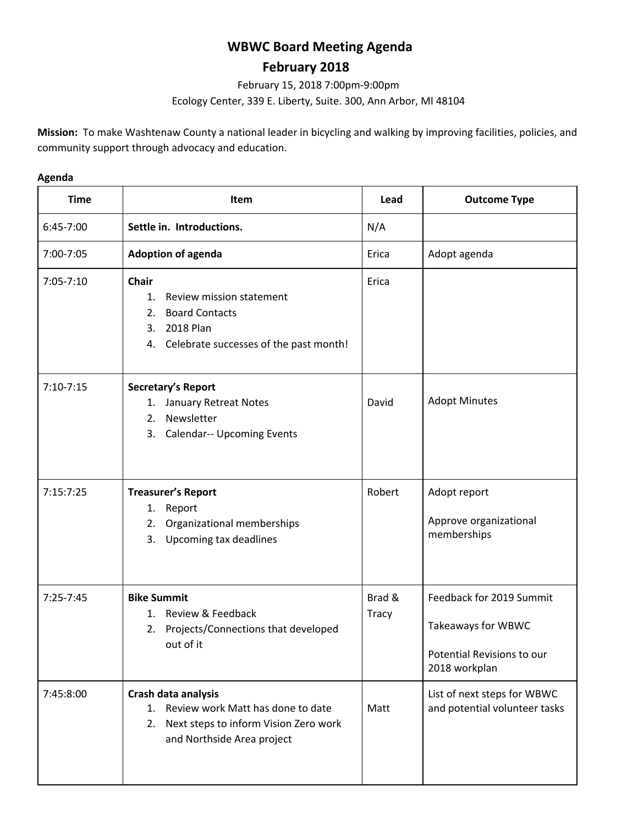# **WBWC Board Meeting Agenda**

## **February 2018**

February 15, 2018 7:00pm-9:00pm Ecology Center, 339 E. Liberty, Suite. 300, Ann Arbor, MI 48104

**Mission:** To make Washtenaw County a national leader in bicycling and walking by improving facilities, policies, and community support through advocacy and education.

#### **Agenda**

| <b>Time</b>   | <b>Item</b>                                                                                                                                   | Lead                   | <b>Outcome Type</b>                                                                           |
|---------------|-----------------------------------------------------------------------------------------------------------------------------------------------|------------------------|-----------------------------------------------------------------------------------------------|
| 6:45-7:00     | Settle in. Introductions.                                                                                                                     | N/A                    |                                                                                               |
| 7:00-7:05     | <b>Adoption of agenda</b>                                                                                                                     | Erica                  | Adopt agenda                                                                                  |
| 7:05-7:10     | <b>Chair</b><br>Review mission statement<br>1.<br><b>Board Contacts</b><br>2.<br>2018 Plan<br>3.<br>4. Celebrate successes of the past month! | Erica                  |                                                                                               |
| $7:10-7:15$   | Secretary's Report<br>1. January Retreat Notes<br>Newsletter<br>2.<br><b>Calendar-- Upcoming Events</b><br>3.                                 | David                  | <b>Adopt Minutes</b>                                                                          |
| 7:15:7:25     | <b>Treasurer's Report</b><br>Report<br>1.<br>Organizational memberships<br>2.<br>Upcoming tax deadlines<br>3.                                 | Robert                 | Adopt report<br>Approve organizational<br>memberships                                         |
| $7:25 - 7:45$ | <b>Bike Summit</b><br>1. Review & Feedback<br>Projects/Connections that developed<br>2.<br>out of it                                          | Brad &<br><b>Tracy</b> | Feedback for 2019 Summit<br>Takeaways for WBWC<br>Potential Revisions to our<br>2018 workplan |
| 7:45:8:00     | Crash data analysis<br>Review work Matt has done to date<br>1.<br>Next steps to inform Vision Zero work<br>2.<br>and Northside Area project   | Matt                   | List of next steps for WBWC<br>and potential volunteer tasks                                  |